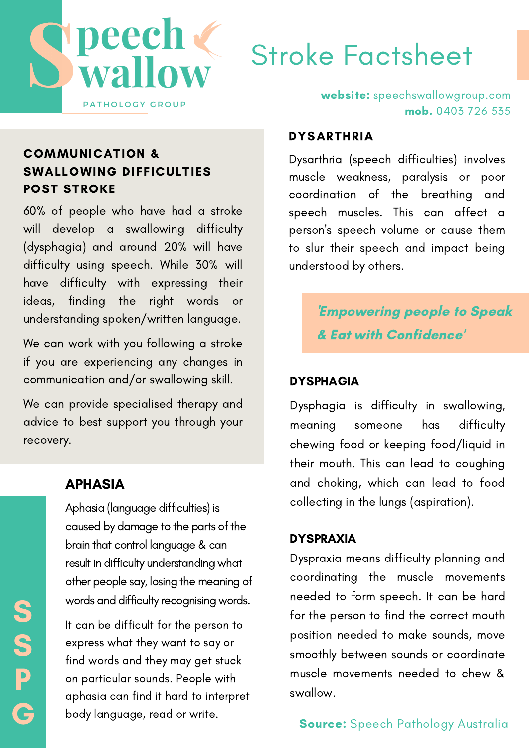

# Stroke Factsheet

### COMMUNICATION & SWALLOWING DIFFICULTIES POST STROKE

60% of people who have had a stroke will develop a swallowing difficulty (dysphagia) and around 20% will have difficulty using speech. While 30% will have difficulty with expressing their ideas, finding the right words or understanding spoken/written language.

We can work with you following a stroke if you are experiencing any changes in communication and/or swallowing skill.

We can provide specialised therapy and advice to best support you through your recovery.

### APHASIA

S

S

P

G

0 2 Aphasia (language difficulties) is caused by damage to the parts of the brain that control language&can result in difficulty understanding what other people say, losing the meaning of words and difficulty recognising words.

It can be difficult for the person to express what they want to say or find words and they may get stuck on particular sounds. People with aphasia can find it hard to interpret body language, read or write.

website: speechswallowgroup.com mob. 0403 726 535

#### **DYSARTHRIA**

Dysarthria (speech difficulties) involves muscle weakness, paralysis or poor coordination of the breathing and speech muscles. This can affect a person's speech volume or cause them to slur their speech and impact being understood by others.

> 'Empowering people to Speak & Eat with Confidence'

#### DYSPHAGIA

Dysphagia is difficulty in swallowing, meaning someone has difficulty chewing food or keeping food/liquid in their mouth. This can lead to coughing and choking, which can lead to food collecting in the lungs (aspiration).

#### DYSPRAXIA

Dyspraxia means difficulty planning and coordinating the muscle movements needed to form speech. It can be hard for the person to find the correct mouth position needed to make sounds, move smoothly between sounds or coordinate muscle movements needed to chew & swallow.